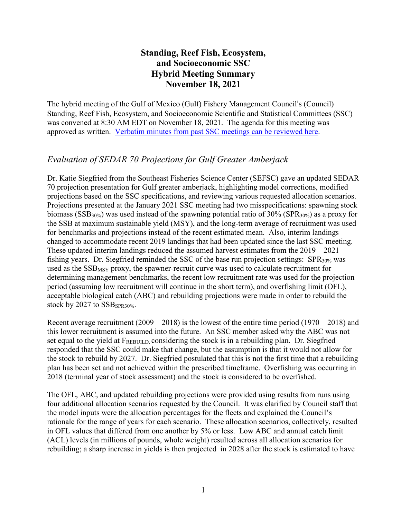# **Standing, Reef Fish, Ecosystem, and Socioeconomic SSC Hybrid Meeting Summary November 18, 2021**

The hybrid meeting of the Gulf of Mexico (Gulf) Fishery Management Council's (Council) Standing, Reef Fish, Ecosystem, and Socioeconomic Scientific and Statistical Committees (SSC) was convened at 8:30 AM EDT on November 18, 2021. The agenda for this meeting was approved as written. [Verbatim](https://gulfcouncil.org/meetings/ssc/archive/) minutes from past SSC meetings can be reviewed here.

# *Evaluation of SEDAR 70 Projections for Gulf Greater Amberjack*

Dr. Katie Siegfried from the Southeast Fisheries Science Center (SEFSC) gave an updated SEDAR 70 projection presentation for Gulf greater amberjack, highlighting model corrections, modified projections based on the SSC specifications, and reviewing various requested allocation scenarios. Projections presented at the January 2021 SSC meeting had two misspecifications: spawning stock biomass ( $SSB_{30\%}$ ) was used instead of the spawning potential ratio of 30% ( $SPR_{30\%}$ ) as a proxy for the SSB at maximum sustainable yield (MSY), and the long-term average of recruitment was used for benchmarks and projections instead of the recent estimated mean. Also, interim landings changed to accommodate recent 2019 landings that had been updated since the last SSC meeting. These updated interim landings reduced the assumed harvest estimates from the 2019 – 2021 fishing years. Dr. Siegfried reminded the SSC of the base run projection settings: SPR<sub>30%</sub> was used as the  $SSB$ <sub>MSY</sub> proxy, the spawner-recruit curve was used to calculate recruitment for determining management benchmarks, the recent low recruitment rate was used for the projection period (assuming low recruitment will continue in the short term), and overfishing limit (OFL), acceptable biological catch (ABC) and rebuilding projections were made in order to rebuild the stock by 2027 to SSB<sub>SPR30%</sub>.

Recent average recruitment  $(2009 - 2018)$  is the lowest of the entire time period  $(1970 - 2018)$  and this lower recruitment is assumed into the future. An SSC member asked why the ABC was not set equal to the yield at  $F_{REBULLD}$  considering the stock is in a rebuilding plan. Dr. Siegfried responded that the SSC could make that change, but the assumption is that it would not allow for the stock to rebuild by 2027. Dr. Siegfried postulated that this is not the first time that a rebuilding plan has been set and not achieved within the prescribed timeframe. Overfishing was occurring in 2018 (terminal year of stock assessment) and the stock is considered to be overfished.

The OFL, ABC, and updated rebuilding projections were provided using results from runs using four additional allocation scenarios requested by the Council. It was clarified by Council staff that the model inputs were the allocation percentages for the fleets and explained the Council's rationale for the range of years for each scenario. These allocation scenarios, collectively, resulted in OFL values that differed from one another by 5% or less. Low ABC and annual catch limit (ACL) levels (in millions of pounds, whole weight) resulted across all allocation scenarios for rebuilding; a sharp increase in yields is then projected in 2028 after the stock is estimated to have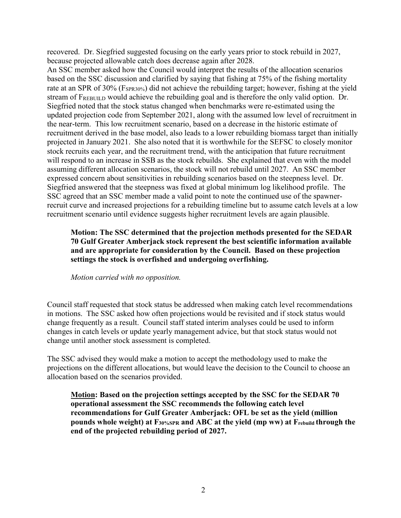recovered. Dr. Siegfried suggested focusing on the early years prior to stock rebuild in 2027, because projected allowable catch does decrease again after 2028.

An SSC member asked how the Council would interpret the results of the allocation scenarios based on the SSC discussion and clarified by saying that fishing at 75% of the fishing mortality rate at an SPR of 30% (F<sub>SPR30%</sub>) did not achieve the rebuilding target; however, fishing at the yield stream of FREBUILD would achieve the rebuilding goal and is therefore the only valid option. Dr. Siegfried noted that the stock status changed when benchmarks were re-estimated using the updated projection code from September 2021, along with the assumed low level of recruitment in the near-term. This low recruitment scenario, based on a decrease in the historic estimate of recruitment derived in the base model, also leads to a lower rebuilding biomass target than initially projected in January 2021. She also noted that it is worthwhile for the SEFSC to closely monitor stock recruits each year, and the recruitment trend, with the anticipation that future recruitment will respond to an increase in SSB as the stock rebuilds. She explained that even with the model assuming different allocation scenarios, the stock will not rebuild until 2027. An SSC member expressed concern about sensitivities in rebuilding scenarios based on the steepness level. Dr. Siegfried answered that the steepness was fixed at global minimum log likelihood profile. The SSC agreed that an SSC member made a valid point to note the continued use of the spawnerrecruit curve and increased projections for a rebuilding timeline but to assume catch levels at a low recruitment scenario until evidence suggests higher recruitment levels are again plausible.

## **Motion: The SSC determined that the projection methods presented for the SEDAR 70 Gulf Greater Amberjack stock represent the best scientific information available and are appropriate for consideration by the Council. Based on these projection settings the stock is overfished and undergoing overfishing.**

*Motion carried with no opposition.*

Council staff requested that stock status be addressed when making catch level recommendations in motions. The SSC asked how often projections would be revisited and if stock status would change frequently as a result. Council staff stated interim analyses could be used to inform changes in catch levels or update yearly management advice, but that stock status would not change until another stock assessment is completed.

The SSC advised they would make a motion to accept the methodology used to make the projections on the different allocations, but would leave the decision to the Council to choose an allocation based on the scenarios provided.

**Motion: Based on the projection settings accepted by the SSC for the SEDAR 70 operational assessment the SSC recommends the following catch level recommendations for Gulf Greater Amberjack: OFL be set as the yield (million pounds whole weight) at F30%SPR and ABC at the yield (mp ww) at Frebuild through the end of the projected rebuilding period of 2027.**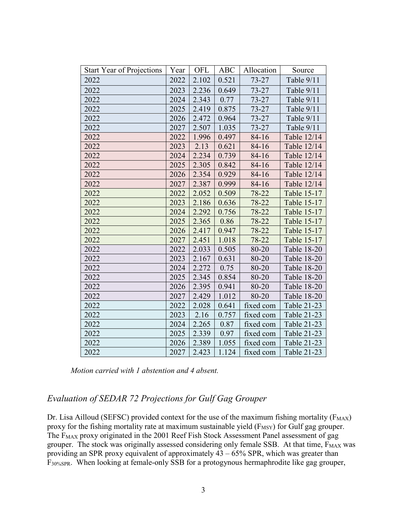| <b>Start Year of Projections</b> | Year | OFL   | <b>ABC</b> | Allocation | Source      |
|----------------------------------|------|-------|------------|------------|-------------|
| 2022                             | 2022 | 2.102 | 0.521      | $73 - 27$  | Table 9/11  |
| 2022                             | 2023 | 2.236 | 0.649      | $73 - 27$  | Table 9/11  |
| 2022                             | 2024 | 2.343 | 0.77       | $73 - 27$  | Table 9/11  |
| 2022                             | 2025 | 2.419 | 0.875      | $73 - 27$  | Table 9/11  |
| 2022                             | 2026 | 2.472 | 0.964      | $73 - 27$  | Table 9/11  |
| 2022                             | 2027 | 2.507 | 1.035      | $73 - 27$  | Table 9/11  |
| 2022                             | 2022 | 1.996 | 0.497      | $84 - 16$  | Table 12/14 |
| 2022                             | 2023 | 2.13  | 0.621      | $84 - 16$  | Table 12/14 |
| 2022                             | 2024 | 2.234 | 0.739      | $84 - 16$  | Table 12/14 |
| 2022                             | 2025 | 2.305 | 0.842      | $84 - 16$  | Table 12/14 |
| 2022                             | 2026 | 2.354 | 0.929      | $84 - 16$  | Table 12/14 |
| 2022                             | 2027 | 2.387 | 0.999      | $84 - 16$  | Table 12/14 |
| 2022                             | 2022 | 2.052 | 0.509      | 78-22      | Table 15-17 |
| 2022                             | 2023 | 2.186 | 0.636      | 78-22      | Table 15-17 |
| 2022                             | 2024 | 2.292 | 0.756      | 78-22      | Table 15-17 |
| 2022                             | 2025 | 2.365 | 0.86       | 78-22      | Table 15-17 |
| 2022                             | 2026 | 2.417 | 0.947      | 78-22      | Table 15-17 |
| 2022                             | 2027 | 2.451 | 1.018      | 78-22      | Table 15-17 |
| 2022                             | 2022 | 2.033 | 0.505      | 80-20      | Table 18-20 |
| 2022                             | 2023 | 2.167 | 0.631      | 80-20      | Table 18-20 |
| 2022                             | 2024 | 2.272 | 0.75       | 80-20      | Table 18-20 |
| 2022                             | 2025 | 2.345 | 0.854      | 80-20      | Table 18-20 |
| 2022                             | 2026 | 2.395 | 0.941      | 80-20      | Table 18-20 |
| 2022                             | 2027 | 2.429 | 1.012      | 80-20      | Table 18-20 |
| 2022                             | 2022 | 2.028 | 0.641      | fixed com  | Table 21-23 |
| 2022                             | 2023 | 2.16  | 0.757      | fixed com  | Table 21-23 |
| 2022                             | 2024 | 2.265 | 0.87       | fixed com  | Table 21-23 |
| 2022                             | 2025 | 2.339 | 0.97       | fixed com  | Table 21-23 |
| 2022                             | 2026 | 2.389 | 1.055      | fixed com  | Table 21-23 |
| 2022                             | 2027 | 2.423 | 1.124      | fixed com  | Table 21-23 |

*Motion carried with 1 abstention and 4 absent.*

# *Evaluation of SEDAR 72 Projections for Gulf Gag Grouper*

Dr. Lisa Ailloud (SEFSC) provided context for the use of the maximum fishing mortality ( $F_{MAX}$ ) proxy for the fishing mortality rate at maximum sustainable yield (F<sub>MSY</sub>) for Gulf gag grouper. The F<sub>MAX</sub> proxy originated in the 2001 Reef Fish Stock Assessment Panel assessment of gag grouper. The stock was originally assessed considering only female SSB. At that time,  $F_{MAX}$  was providing an SPR proxy equivalent of approximately  $43 - 65\%$  SPR, which was greater than F30%SPR. When looking at female-only SSB for a protogynous hermaphrodite like gag grouper,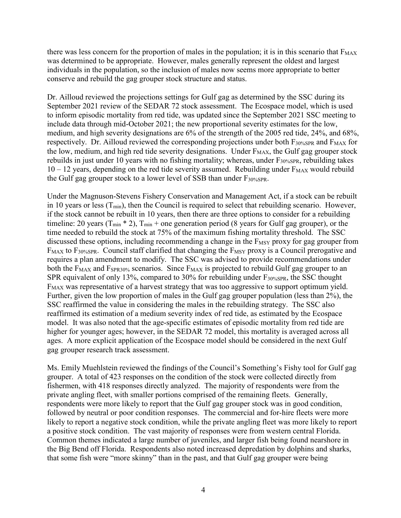there was less concern for the proportion of males in the population; it is in this scenario that  $F_{MAX}$ was determined to be appropriate. However, males generally represent the oldest and largest individuals in the population, so the inclusion of males now seems more appropriate to better conserve and rebuild the gag grouper stock structure and status.

Dr. Ailloud reviewed the projections settings for Gulf gag as determined by the SSC during its September 2021 review of the SEDAR 72 stock assessment. The Ecospace model, which is used to inform episodic mortality from red tide, was updated since the September 2021 SSC meeting to include data through mid-October 2021; the new proportional severity estimates for the low, medium, and high severity designations are 6% of the strength of the 2005 red tide, 24%, and 68%, respectively. Dr. Ailloud reviewed the corresponding projections under both  $F_{30\%SPR}$  and  $F_{MAX}$  for the low, medium, and high red tide severity designations. Under  $F_{MAX}$ , the Gulf gag grouper stock rebuilds in just under 10 years with no fishing mortality; whereas, under  $F_{30%SPR}$ , rebuilding takes  $10 - 12$  years, depending on the red tide severity assumed. Rebuilding under  $F_{MAX}$  would rebuild the Gulf gag grouper stock to a lower level of SSB than under  $F_{30\%SPR}$ .

Under the Magnuson-Stevens Fishery Conservation and Management Act, if a stock can be rebuilt in 10 years or less  $(T_{min})$ , then the Council is required to select that rebuilding scenario. However, if the stock cannot be rebuilt in 10 years, then there are three options to consider for a rebuilding timeline: 20 years  $(T_{min} * 2)$ ,  $T_{min}$  + one generation period (8 years for Gulf gag grouper), or the time needed to rebuild the stock at 75% of the maximum fishing mortality threshold. The SSC discussed these options, including recommending a change in the  $F$ <sub>MSY</sub> proxy for gag grouper from  $F_{MAX}$  to  $F_{30\%SPR}$ . Council staff clarified that changing the  $F_{MSY}$  proxy is a Council prerogative and requires a plan amendment to modify. The SSC was advised to provide recommendations under both the  $F_{MAX}$  and  $F_{SPR30\%}$  scenarios. Since  $F_{MAX}$  is projected to rebuild Gulf gag grouper to an SPR equivalent of only 13%, compared to 30% for rebuilding under F30%SPR, the SSC thought FMAX was representative of a harvest strategy that was too aggressive to support optimum yield. Further, given the low proportion of males in the Gulf gag grouper population (less than 2%), the SSC reaffirmed the value in considering the males in the rebuilding strategy. The SSC also reaffirmed its estimation of a medium severity index of red tide, as estimated by the Ecospace model. It was also noted that the age-specific estimates of episodic mortality from red tide are higher for younger ages; however, in the SEDAR 72 model, this mortality is averaged across all ages. A more explicit application of the Ecospace model should be considered in the next Gulf gag grouper research track assessment.

Ms. Emily Muehlstein reviewed the findings of the Council's Something's Fishy tool for Gulf gag grouper. A total of 423 responses on the condition of the stock were collected directly from fishermen, with 418 responses directly analyzed. The majority of respondents were from the private angling fleet, with smaller portions comprised of the remaining fleets. Generally, respondents were more likely to report that the Gulf gag grouper stock was in good condition, followed by neutral or poor condition responses. The commercial and for-hire fleets were more likely to report a negative stock condition, while the private angling fleet was more likely to report a positive stock condition. The vast majority of responses were from western central Florida. Common themes indicated a large number of juveniles, and larger fish being found nearshore in the Big Bend off Florida. Respondents also noted increased depredation by dolphins and sharks, that some fish were "more skinny" than in the past, and that Gulf gag grouper were being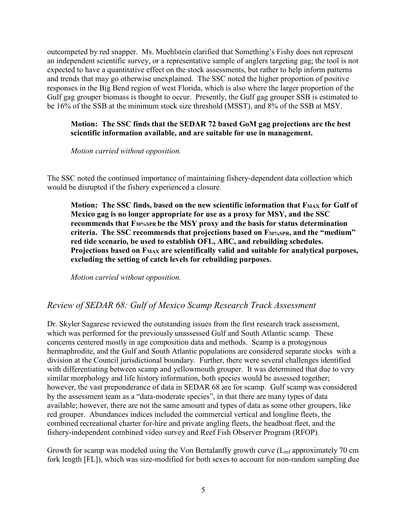outcompeted by red snapper. Ms. Muehlstein clarified that Something's Fishy does not represent an independent scientific survey, or a representative sample of anglers targeting gag; the tool is not expected to have a quantitative effect on the stock assessments, but rather to help inform patterns and trends that may go otherwise unexplained. The SSC noted the higher proportion of positive responses in the Big Bend region of west Florida, which is also where the larger proportion of the Gulf gag grouper biomass is thought to occur. Presently, the Gulf gag grouper SSB is estimated to be 16% of the SSB at the minimum stock size threshold (MSST), and 8% of the SSB at MSY.

#### **Motion: The SSC finds that the SEDAR 72 based GoM gag projections are the best scientific information available, and are suitable for use in management.**

*Motion carried without opposition.*

The SSC noted the continued importance of maintaining fishery-dependent data collection which would be disrupted if the fishery experienced a closure.

**Motion: The SSC finds, based on the new scientific information that FMAX for Gulf of Mexico gag is no longer appropriate for use as a proxy for MSY, and the SSC recommends that F30%SPR be the MSY proxy and the basis for status determination criteria. The SSC recommends that projections based on F30%SPR, and the "medium" red tide scenario, be used to establish OFL, ABC, and rebuilding schedules. Projections based on FMAX are scientifically valid and suitable for analytical purposes, excluding the setting of catch levels for rebuilding purposes.**

*Motion carried without opposition.*

## *Review of SEDAR 68: Gulf of Mexico Scamp Research Track Assessment*

Dr. Skyler Sagarese reviewed the outstanding issues from the first research track assessment, which was performed for the previously unassessed Gulf and South Atlantic scamp. These concerns centered mostly in age composition data and methods. Scamp is a protogynous hermaphrodite, and the Gulf and South Atlantic populations are considered separate stocks with a division at the Council jurisdictional boundary. Further, there were several challenges identified with differentiating between scamp and yellowmouth grouper. It was determined that due to very similar morphology and life history information, both species would be assessed together; however, the vast preponderance of data in SEDAR 68 are for scamp. Gulf scamp was considered by the assessment team as a "data-moderate species", in that there are many types of data available; however, there are not the same amount and types of data as some other groupers, like red grouper. Abundances indices included the commercial vertical and longline fleets, the combined recreational charter for-hire and private angling fleets, the headboat fleet, and the fishery-independent combined video survey and Reef Fish Observer Program (RFOP).

Growth for scamp was modeled using the Von Bertalanffy growth curve  $(L_{\text{inf}}$  approximately 70 cm fork length [FL]), which was size-modified for both sexes to account for non-random sampling due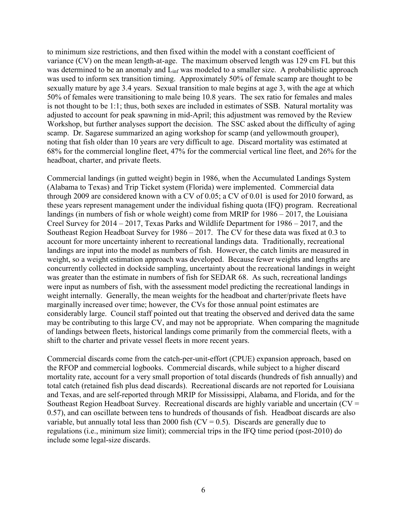to minimum size restrictions, and then fixed within the model with a constant coefficient of variance (CV) on the mean length-at-age. The maximum observed length was 129 cm FL but this was determined to be an anomaly and L<sub>inf</sub> was modeled to a smaller size. A probabilistic approach was used to inform sex transition timing. Approximately 50% of female scamp are thought to be sexually mature by age 3.4 years. Sexual transition to male begins at age 3, with the age at which 50% of females were transitioning to male being 10.8 years. The sex ratio for females and males is not thought to be 1:1; thus, both sexes are included in estimates of SSB. Natural mortality was adjusted to account for peak spawning in mid-April; this adjustment was removed by the Review Workshop, but further analyses support the decision. The SSC asked about the difficulty of aging scamp. Dr. Sagarese summarized an aging workshop for scamp (and yellowmouth grouper), noting that fish older than 10 years are very difficult to age. Discard mortality was estimated at 68% for the commercial longline fleet, 47% for the commercial vertical line fleet, and 26% for the headboat, charter, and private fleets.

Commercial landings (in gutted weight) begin in 1986, when the Accumulated Landings System (Alabama to Texas) and Trip Ticket system (Florida) were implemented. Commercial data through 2009 are considered known with a CV of 0.05; a CV of 0.01 is used for 2010 forward, as these years represent management under the individual fishing quota (IFQ) program. Recreational landings (in numbers of fish or whole weight) come from MRIP for 1986 – 2017, the Louisiana Creel Survey for 2014 – 2017, Texas Parks and Wildlife Department for 1986 – 2017, and the Southeast Region Headboat Survey for 1986 – 2017. The CV for these data was fixed at 0.3 to account for more uncertainty inherent to recreational landings data. Traditionally, recreational landings are input into the model as numbers of fish. However, the catch limits are measured in weight, so a weight estimation approach was developed. Because fewer weights and lengths are concurrently collected in dockside sampling, uncertainty about the recreational landings in weight was greater than the estimate in numbers of fish for SEDAR 68. As such, recreational landings were input as numbers of fish, with the assessment model predicting the recreational landings in weight internally. Generally, the mean weights for the headboat and charter/private fleets have marginally increased over time; however, the CVs for those annual point estimates are considerably large. Council staff pointed out that treating the observed and derived data the same may be contributing to this large CV, and may not be appropriate. When comparing the magnitude of landings between fleets, historical landings come primarily from the commercial fleets, with a shift to the charter and private vessel fleets in more recent years.

Commercial discards come from the catch-per-unit-effort (CPUE) expansion approach, based on the RFOP and commercial logbooks. Commercial discards, while subject to a higher discard mortality rate, account for a very small proportion of total discards (hundreds of fish annually) and total catch (retained fish plus dead discards). Recreational discards are not reported for Louisiana and Texas, and are self-reported through MRIP for Mississippi, Alabama, and Florida, and for the Southeast Region Headboat Survey. Recreational discards are highly variable and uncertain  $(CV =$ 0.57), and can oscillate between tens to hundreds of thousands of fish. Headboat discards are also variable, but annually total less than 2000 fish  $(CV = 0.5)$ . Discards are generally due to regulations (i.e., minimum size limit); commercial trips in the IFQ time period (post-2010) do include some legal-size discards.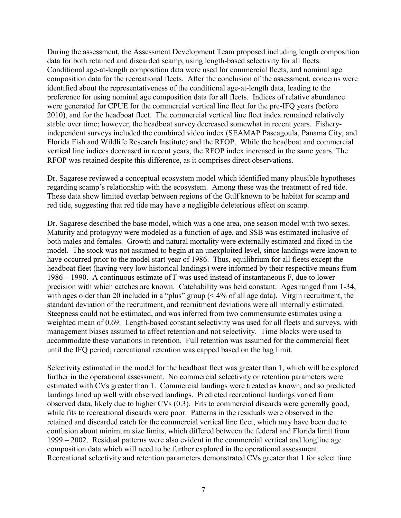During the assessment, the Assessment Development Team proposed including length composition data for both retained and discarded scamp, using length-based selectivity for all fleets. Conditional age-at-length composition data were used for commercial fleets, and nominal age composition data for the recreational fleets. After the conclusion of the assessment, concerns were identified about the representativeness of the conditional age-at-length data, leading to the preference for using nominal age composition data for all fleets. Indices of relative abundance were generated for CPUE for the commercial vertical line fleet for the pre-IFQ years (before 2010), and for the headboat fleet. The commercial vertical line fleet index remained relatively stable over time; however, the headboat survey decreased somewhat in recent years. Fisheryindependent surveys included the combined video index (SEAMAP Pascagoula, Panama City, and Florida Fish and Wildlife Research Institute) and the RFOP. While the headboat and commercial vertical line indices decreased in recent years, the RFOP index increased in the same years. The RFOP was retained despite this difference, as it comprises direct observations.

Dr. Sagarese reviewed a conceptual ecosystem model which identified many plausible hypotheses regarding scamp's relationship with the ecosystem. Among these was the treatment of red tide. These data show limited overlap between regions of the Gulf known to be habitat for scamp and red tide, suggesting that red tide may have a negligible deleterious effect on scamp.

Dr. Sagarese described the base model, which was a one area, one season model with two sexes. Maturity and protogyny were modeled as a function of age, and SSB was estimated inclusive of both males and females. Growth and natural mortality were externally estimated and fixed in the model. The stock was not assumed to begin at an unexploited level, since landings were known to have occurred prior to the model start year of 1986. Thus, equilibrium for all fleets except the headboat fleet (having very low historical landings) were informed by their respective means from 1986 – 1990. A continuous estimate of F was used instead of instantaneous F, due to lower precision with which catches are known. Catchability was held constant. Ages ranged from 1-34, with ages older than 20 included in a "plus" group (< 4% of all age data). Virgin recruitment, the standard deviation of the recruitment, and recruitment deviations were all internally estimated. Steepness could not be estimated, and was inferred from two commensurate estimates using a weighted mean of 0.69. Length-based constant selectivity was used for all fleets and surveys, with management biases assumed to affect retention and not selectivity. Time blocks were used to accommodate these variations in retention. Full retention was assumed for the commercial fleet until the IFQ period; recreational retention was capped based on the bag limit.

Selectivity estimated in the model for the headboat fleet was greater than 1, which will be explored further in the operational assessment. No commercial selectivity or retention parameters were estimated with CVs greater than 1. Commercial landings were treated as known, and so predicted landings lined up well with observed landings. Predicted recreational landings varied from observed data, likely due to higher CVs (0.3). Fits to commercial discards were generally good, while fits to recreational discards were poor. Patterns in the residuals were observed in the retained and discarded catch for the commercial vertical line fleet, which may have been due to confusion about minimum size limits, which differed between the federal and Florida limit from 1999 – 2002. Residual patterns were also evident in the commercial vertical and longline age composition data which will need to be further explored in the operational assessment. Recreational selectivity and retention parameters demonstrated CVs greater that 1 for select time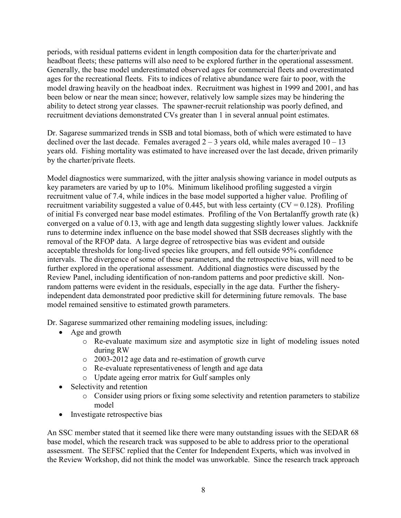periods, with residual patterns evident in length composition data for the charter/private and headboat fleets; these patterns will also need to be explored further in the operational assessment. Generally, the base model underestimated observed ages for commercial fleets and overestimated ages for the recreational fleets. Fits to indices of relative abundance were fair to poor, with the model drawing heavily on the headboat index. Recruitment was highest in 1999 and 2001, and has been below or near the mean since; however, relatively low sample sizes may be hindering the ability to detect strong year classes. The spawner-recruit relationship was poorly defined, and recruitment deviations demonstrated CVs greater than 1 in several annual point estimates.

Dr. Sagarese summarized trends in SSB and total biomass, both of which were estimated to have declined over the last decade. Females averaged  $2 - 3$  years old, while males averaged  $10 - 13$ years old. Fishing mortality was estimated to have increased over the last decade, driven primarily by the charter/private fleets.

Model diagnostics were summarized, with the jitter analysis showing variance in model outputs as key parameters are varied by up to 10%. Minimum likelihood profiling suggested a virgin recruitment value of 7.4, while indices in the base model supported a higher value. Profiling of recruitment variability suggested a value of 0.445, but with less certainty ( $CV = 0.128$ ). Profiling of initial Fs converged near base model estimates. Profiling of the Von Bertalanffy growth rate (k) converged on a value of 0.13, with age and length data suggesting slightly lower values. Jackknife runs to determine index influence on the base model showed that SSB decreases slightly with the removal of the RFOP data. A large degree of retrospective bias was evident and outside acceptable thresholds for long-lived species like groupers, and fell outside 95% confidence intervals. The divergence of some of these parameters, and the retrospective bias, will need to be further explored in the operational assessment. Additional diagnostics were discussed by the Review Panel, including identification of non-random patterns and poor predictive skill. Nonrandom patterns were evident in the residuals, especially in the age data. Further the fisheryindependent data demonstrated poor predictive skill for determining future removals. The base model remained sensitive to estimated growth parameters.

Dr. Sagarese summarized other remaining modeling issues, including:

- Age and growth
	- o Re-evaluate maximum size and asymptotic size in light of modeling issues noted during RW
	- o 2003-2012 age data and re-estimation of growth curve
	- o Re-evaluate representativeness of length and age data
	- o Update ageing error matrix for Gulf samples only
- Selectivity and retention
	- o Consider using priors or fixing some selectivity and retention parameters to stabilize model
- Investigate retrospective bias

An SSC member stated that it seemed like there were many outstanding issues with the SEDAR 68 base model, which the research track was supposed to be able to address prior to the operational assessment. The SEFSC replied that the Center for Independent Experts, which was involved in the Review Workshop, did not think the model was unworkable. Since the research track approach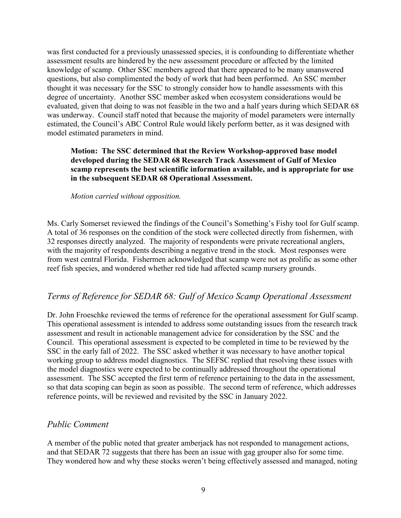was first conducted for a previously unassessed species, it is confounding to differentiate whether assessment results are hindered by the new assessment procedure or affected by the limited knowledge of scamp. Other SSC members agreed that there appeared to be many unanswered questions, but also complimented the body of work that had been performed. An SSC member thought it was necessary for the SSC to strongly consider how to handle assessments with this degree of uncertainty. Another SSC member asked when ecosystem considerations would be evaluated, given that doing to was not feasible in the two and a half years during which SEDAR 68 was underway. Council staff noted that because the majority of model parameters were internally estimated, the Council's ABC Control Rule would likely perform better, as it was designed with model estimated parameters in mind.

### **Motion: The SSC determined that the Review Workshop-approved base model developed during the SEDAR 68 Research Track Assessment of Gulf of Mexico scamp represents the best scientific information available, and is appropriate for use in the subsequent SEDAR 68 Operational Assessment.**

*Motion carried without opposition.*

Ms. Carly Somerset reviewed the findings of the Council's Something's Fishy tool for Gulf scamp. A total of 36 responses on the condition of the stock were collected directly from fishermen, with 32 responses directly analyzed. The majority of respondents were private recreational anglers, with the majority of respondents describing a negative trend in the stock. Most responses were from west central Florida. Fishermen acknowledged that scamp were not as prolific as some other reef fish species, and wondered whether red tide had affected scamp nursery grounds.

## *Terms of Reference for SEDAR 68: Gulf of Mexico Scamp Operational Assessment*

Dr. John Froeschke reviewed the terms of reference for the operational assessment for Gulf scamp. This operational assessment is intended to address some outstanding issues from the research track assessment and result in actionable management advice for consideration by the SSC and the Council. This operational assessment is expected to be completed in time to be reviewed by the SSC in the early fall of 2022. The SSC asked whether it was necessary to have another topical working group to address model diagnostics. The SEFSC replied that resolving these issues with the model diagnostics were expected to be continually addressed throughout the operational assessment. The SSC accepted the first term of reference pertaining to the data in the assessment, so that data scoping can begin as soon as possible. The second term of reference, which addresses reference points, will be reviewed and revisited by the SSC in January 2022.

## *Public Comment*

A member of the public noted that greater amberjack has not responded to management actions, and that SEDAR 72 suggests that there has been an issue with gag grouper also for some time. They wondered how and why these stocks weren't being effectively assessed and managed, noting